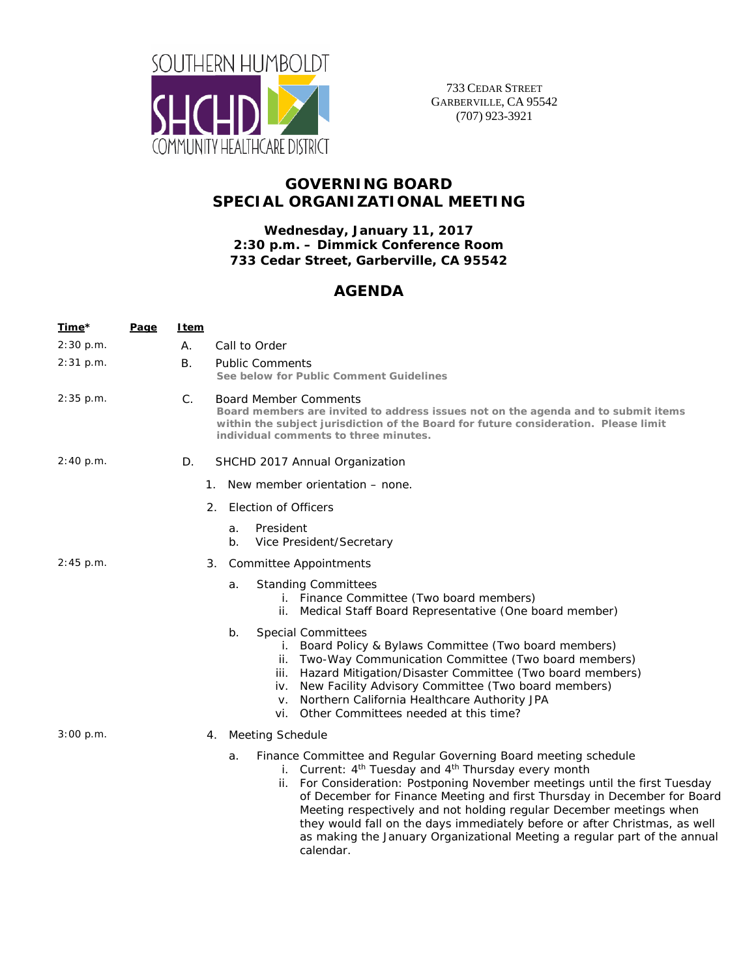

733 CEDAR STREET GARBERVILLE, CA 95542 (707) 923-3921

## **GOVERNING BOARD SPECIAL ORGANIZATIONAL MEETING**

**Wednesday, January 11, 2017 2:30 p.m. – Dimmick Conference Room 733 Cedar Street, Garberville, CA 95542** 

## **AGENDA**

| Time*       | <u>Page</u> | <u>Item</u> |                                                                                                                                                                                                                                                                                                                                                                                                                                                                                                                                                                |
|-------------|-------------|-------------|----------------------------------------------------------------------------------------------------------------------------------------------------------------------------------------------------------------------------------------------------------------------------------------------------------------------------------------------------------------------------------------------------------------------------------------------------------------------------------------------------------------------------------------------------------------|
| 2:30 p.m.   |             | А.          | Call to Order                                                                                                                                                                                                                                                                                                                                                                                                                                                                                                                                                  |
| $2:31$ p.m. |             | В.          | <b>Public Comments</b><br>See below for Public Comment Guidelines                                                                                                                                                                                                                                                                                                                                                                                                                                                                                              |
| 2:35 p.m.   |             | $C_{\cdot}$ | <b>Board Member Comments</b><br>Board members are invited to address issues not on the agenda and to submit items<br>within the subject jurisdiction of the Board for future consideration. Please limit<br>individual comments to three minutes.                                                                                                                                                                                                                                                                                                              |
| 2:40 p.m.   |             | D.          | SHCHD 2017 Annual Organization                                                                                                                                                                                                                                                                                                                                                                                                                                                                                                                                 |
|             |             |             | 1. New member orientation – none.                                                                                                                                                                                                                                                                                                                                                                                                                                                                                                                              |
|             |             |             | 2. Election of Officers                                                                                                                                                                                                                                                                                                                                                                                                                                                                                                                                        |
|             |             |             | President<br>a.<br>Vice President/Secretary<br>b.                                                                                                                                                                                                                                                                                                                                                                                                                                                                                                              |
| $2:45$ p.m. |             |             | <b>Committee Appointments</b><br>3.                                                                                                                                                                                                                                                                                                                                                                                                                                                                                                                            |
|             |             |             | <b>Standing Committees</b><br>a.<br>i. Finance Committee (Two board members)<br>ii. Medical Staff Board Representative (One board member)                                                                                                                                                                                                                                                                                                                                                                                                                      |
|             |             |             | <b>Special Committees</b><br>b.<br>i. Board Policy & Bylaws Committee (Two board members)<br>ii. Two-Way Communication Committee (Two board members)<br>iii. Hazard Mitigation/Disaster Committee (Two board members)<br>iv. New Facility Advisory Committee (Two board members)<br>v. Northern California Healthcare Authority JPA<br>vi. Other Committees needed at this time?                                                                                                                                                                               |
| 3:00 p.m.   |             |             | 4. Meeting Schedule                                                                                                                                                                                                                                                                                                                                                                                                                                                                                                                                            |
|             |             |             | Finance Committee and Regular Governing Board meeting schedule<br>a.<br>i. Current: 4 <sup>th</sup> Tuesday and 4 <sup>th</sup> Thursday every month<br>ii. For Consideration: Postponing November meetings until the first Tuesday<br>of December for Finance Meeting and first Thursday in December for Board<br>Meeting respectively and not holding regular December meetings when<br>they would fall on the days immediately before or after Christmas, as well<br>as making the January Organizational Meeting a regular part of the annual<br>calendar. |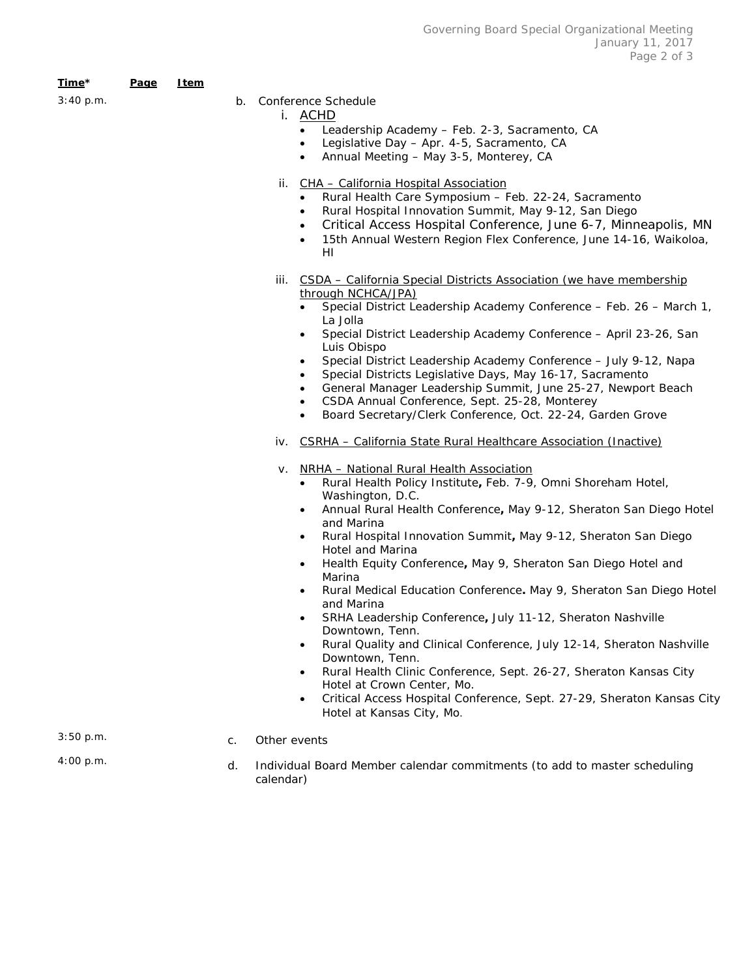| <u>Time</u> * | Page | <u>I tem</u> |    |                                                                                                                                                                                                                                                                                                                                                                                                                                                                                                                                                                                                                                                                                                                                                                                                                                                                                                                                                                          |
|---------------|------|--------------|----|--------------------------------------------------------------------------------------------------------------------------------------------------------------------------------------------------------------------------------------------------------------------------------------------------------------------------------------------------------------------------------------------------------------------------------------------------------------------------------------------------------------------------------------------------------------------------------------------------------------------------------------------------------------------------------------------------------------------------------------------------------------------------------------------------------------------------------------------------------------------------------------------------------------------------------------------------------------------------|
| 3:40 p.m.     |      |              |    | b. Conference Schedule<br>i. ACHD<br>Leadership Academy - Feb. 2-3, Sacramento, CA<br>$\bullet$<br>Legislative Day - Apr. 4-5, Sacramento, CA<br>$\bullet$<br>Annual Meeting - May 3-5, Monterey, CA<br>$\bullet$                                                                                                                                                                                                                                                                                                                                                                                                                                                                                                                                                                                                                                                                                                                                                        |
|               |      |              |    | CHA - California Hospital Association<br>ii.<br>Rural Health Care Symposium - Feb. 22-24, Sacramento<br>Rural Hospital Innovation Summit, May 9-12, San Diego<br>$\bullet$<br>Critical Access Hospital Conference, June 6-7, Minneapolis, MN<br>$\bullet$<br>15th Annual Western Region Flex Conference, June 14-16, Waikoloa,<br>$\bullet$<br>HI                                                                                                                                                                                                                                                                                                                                                                                                                                                                                                                                                                                                                        |
|               |      |              |    | iii. CSDA - California Special Districts Association (we have membership<br>through NCHCA/JPA)<br>Special District Leadership Academy Conference - Feb. 26 - March 1,<br>La Jolla                                                                                                                                                                                                                                                                                                                                                                                                                                                                                                                                                                                                                                                                                                                                                                                        |
|               |      |              |    | Special District Leadership Academy Conference - April 23-26, San<br>$\bullet$<br>Luis Obispo<br>Special District Leadership Academy Conference - July 9-12, Napa<br>$\bullet$<br>Special Districts Legislative Days, May 16-17, Sacramento<br>General Manager Leadership Summit, June 25-27, Newport Beach<br>$\bullet$<br>CSDA Annual Conference, Sept. 25-28, Monterey<br>$\bullet$<br>Board Secretary/Clerk Conference, Oct. 22-24, Garden Grove<br>$\bullet$                                                                                                                                                                                                                                                                                                                                                                                                                                                                                                        |
|               |      |              |    | iv. CSRHA - California State Rural Healthcare Association (Inactive)                                                                                                                                                                                                                                                                                                                                                                                                                                                                                                                                                                                                                                                                                                                                                                                                                                                                                                     |
|               |      |              |    | v. NRHA - National Rural Health Association<br>Rural Health Policy Institute, Feb. 7-9, Omni Shoreham Hotel,<br>$\bullet$<br>Washington, D.C.<br>Annual Rural Health Conference, May 9-12, Sheraton San Diego Hotel<br>$\bullet$<br>and Marina<br>Rural Hospital Innovation Summit, May 9-12, Sheraton San Diego<br>$\bullet$<br><b>Hotel and Marina</b><br>Health Equity Conference, May 9, Sheraton San Diego Hotel and<br>$\bullet$<br>Marina<br>Rural Medical Education Conference. May 9, Sheraton San Diego Hotel<br>$\bullet$<br>and Marina<br>SRHA Leadership Conference, July 11-12, Sheraton Nashville<br>٠<br>Downtown, Tenn.<br>Rural Quality and Clinical Conference, July 12-14, Sheraton Nashville<br>$\bullet$<br>Downtown, Tenn.<br>Rural Health Clinic Conference, Sept. 26-27, Sheraton Kansas City<br>Hotel at Crown Center, Mo.<br>Critical Access Hospital Conference, Sept. 27-29, Sheraton Kansas City<br>$\bullet$<br>Hotel at Kansas City, Mo. |
| 3:50 p.m.     |      |              | C. | Other events                                                                                                                                                                                                                                                                                                                                                                                                                                                                                                                                                                                                                                                                                                                                                                                                                                                                                                                                                             |
| 4:00 p.m.     |      |              | d. | Individual Board Member calendar commitments (to add to master scheduling<br>calendar)                                                                                                                                                                                                                                                                                                                                                                                                                                                                                                                                                                                                                                                                                                                                                                                                                                                                                   |